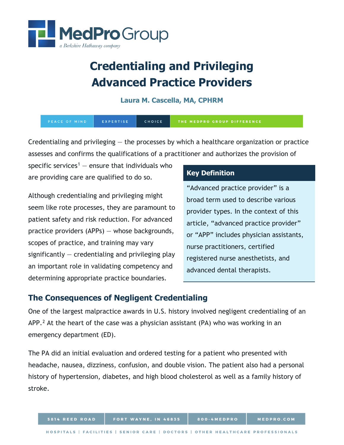

# **Credentialing and Privileging Advanced Practice Providers**

#### **Laura M. Cascella, MA, CPHRM**

| PEACE OF MIND | EXPERTISE | <b>CHOICE</b> | THE MEDPRO GROUP DIFFERENCE |
|---------------|-----------|---------------|-----------------------------|
|---------------|-----------|---------------|-----------------------------|

Credentialing and privileging  $-$  the processes by which a healthcare organization or practice assesses and confirms the qualifications of a practitioner and authorizes the provision of

specific services<sup>[1](#page-3-0)</sup> – ensure that individuals who are providing care are qualified to do so.

Although credentialing and privileging might seem like rote processes, they are paramount to patient safety and risk reduction. For advanced practice providers (APPs) — whose backgrounds, scopes of practice, and training may vary significantly  $-$  credentialing and privileging play an important role in validating competency and determining appropriate practice boundaries.

## **Key Definition**

"Advanced practice provider" is a broad term used to describe various provider types. In the context of this article, "advanced practice provider" or "APP" includes physician assistants, nurse practitioners, certified registered nurse anesthetists, and advanced dental therapists.

# **The Consequences of Negligent Credentialing**

One of the largest malpractice awards in U.S. history involved negligent credentialing of an  $APP<sup>2</sup>$  $APP<sup>2</sup>$  $APP<sup>2</sup>$  At the heart of the case was a physician assistant (PA) who was working in an emergency department (ED).

The PA did an initial evaluation and ordered testing for a patient who presented with headache, nausea, dizziness, confusion, and double vision. The patient also had a personal history of hypertension, diabetes, and high blood cholesterol as well as a family history of stroke.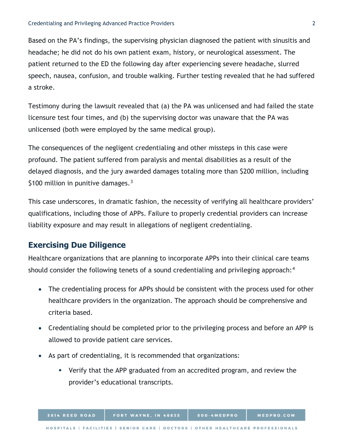Based on the PA's findings, the supervising physician diagnosed the patient with sinusitis and headache; he did not do his own patient exam, history, or neurological assessment. The patient returned to the ED the following day after experiencing severe headache, slurred speech, nausea, confusion, and trouble walking. Further testing revealed that he had suffered a stroke.

Testimony during the lawsuit revealed that (a) the PA was unlicensed and had failed the state licensure test four times, and (b) the supervising doctor was unaware that the PA was unlicensed (both were employed by the same medical group).

The consequences of the negligent credentialing and other missteps in this case were profound. The patient suffered from paralysis and mental disabilities as a result of the delayed diagnosis, and the jury awarded damages totaling more than \$200 million, including \$100 million in punitive damages. $3$ 

This case underscores, in dramatic fashion, the necessity of verifying all healthcare providers' qualifications, including those of APPs. Failure to properly credential providers can increase liability exposure and may result in allegations of negligent credentialing.

# **Exercising Due Diligence**

Healthcare organizations that are planning to incorporate APPs into their clinical care teams should consider the following tenets of a sound credentialing and privileging approach:<sup>[4](#page-3-3)</sup>

- The credentialing process for APPs should be consistent with the process used for other healthcare providers in the organization. The approach should be comprehensive and criteria based.
- Credentialing should be completed prior to the privileging process and before an APP is allowed to provide patient care services.
- As part of credentialing, it is recommended that organizations:
	- Verify that the APP graduated from an accredited program, and review the provider's educational transcripts.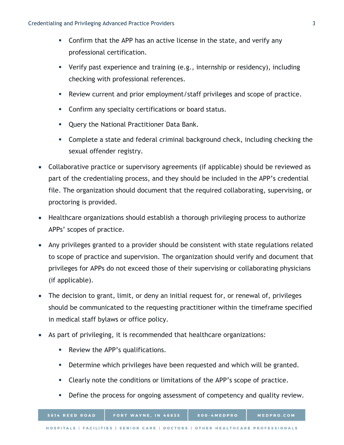- Confirm that the APP has an active license in the state, and verify any professional certification.
- Verify past experience and training (e.g., internship or residency), including checking with professional references.
- Review current and prior employment/staff privileges and scope of practice.
- **Confirm any specialty certifications or board status.**
- **Query the National Practitioner Data Bank.**
- Complete a state and federal criminal background check, including checking the sexual offender registry.
- Collaborative practice or supervisory agreements (if applicable) should be reviewed as part of the credentialing process, and they should be included in the APP's credential file. The organization should document that the required collaborating, supervising, or proctoring is provided.
- Healthcare organizations should establish a thorough privileging process to authorize APPs' scopes of practice.
- Any privileges granted to a provider should be consistent with state regulations related to scope of practice and supervision. The organization should verify and document that privileges for APPs do not exceed those of their supervising or collaborating physicians (if applicable).
- The decision to grant, limit, or deny an initial request for, or renewal of, privileges should be communicated to the requesting practitioner within the timeframe specified in medical staff bylaws or office policy.
- As part of privileging, it is recommended that healthcare organizations:
	- Review the APP's qualifications.
	- **Determine which privileges have been requested and which will be granted.**
	- Clearly note the conditions or limitations of the APP's scope of practice.
	- Define the process for ongoing assessment of competency and quality review.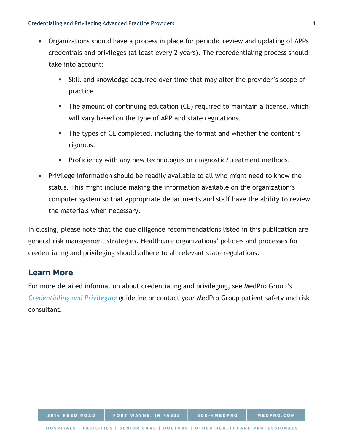- <span id="page-3-1"></span><span id="page-3-0"></span>• Organizations should have a process in place for periodic review and updating of APPs' credentials and privileges (at least every 2 years). The recredentialing process should take into account:
	- Skill and knowledge acquired over time that may alter the provider's scope of practice.
	- The amount of continuing education (CE) required to maintain a license, which will vary based on the type of APP and state regulations.
	- The types of CE completed, including the format and whether the content is rigorous.
	- **Proficiency with any new technologies or diagnostic/treatment methods.**
- <span id="page-3-3"></span><span id="page-3-2"></span>• Privilege information should be readily available to all who might need to know the status. This might include making the information available on the organization's computer system so that appropriate departments and staff have the ability to review the materials when necessary.

In closing, please note that the due diligence recommendations listed in this publication are general risk management strategies. Healthcare organizations' policies and processes for credentialing and privileging should adhere to all relevant state regulations.

## **Learn More**

For more detailed information about credentialing and privileging, see MedPro Group's *[Credentialing and Privileging](https://www.medpro.com/documents/10502/2837997/Guideline_Credentialing+and+Privileging.pdf)* guideline or contact your MedPro Group patient safety and risk consultant.